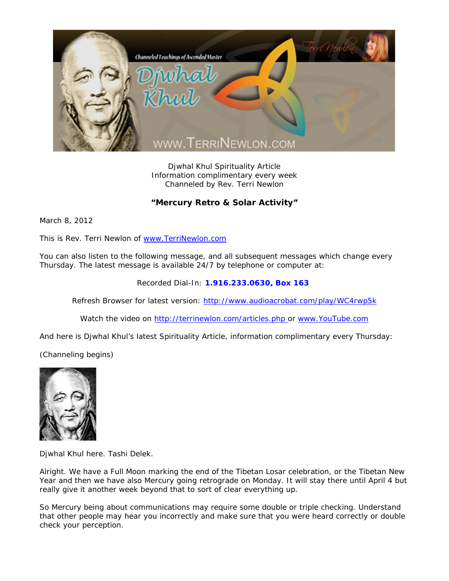

Djwhal Khul Spirituality Article Information complimentary every week Channeled by Rev. Terri Newlon

## **"Mercury Retro & Solar Activity"**

March 8, 2012

This is Rev. Terri Newlon of www.TerriNewlon.com

You can also listen to the following message, and all subsequent messages which change every Thursday. The latest message is available 24/7 by telephone or computer at:

Recorded Dial-In: **1.916.233.0630, Box 163** 

Refresh Browser for latest version: http://www.audioacrobat.com/play/WC4rwp5k

Watch the video on http://terrinewlon.com/articles.php or www.YouTube.com

And here is Djwhal Khul's latest Spirituality Article, information complimentary every Thursday:

(Channeling begins)



Djwhal Khul here. Tashi Delek.

Alright. We have a Full Moon marking the end of the Tibetan Losar celebration, or the Tibetan New Year and then we have also Mercury going retrograde on Monday. It will stay there until April 4 but really give it another week beyond that to sort of clear everything up.

So Mercury being about communications may require some double or triple checking. Understand that other people may hear you incorrectly and make sure that you were heard correctly or double check your perception.